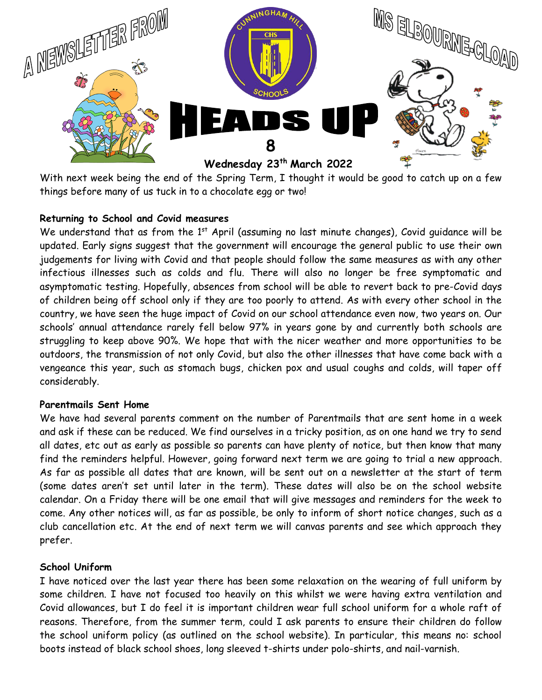

With next week being the end of the Spring Term, I thought it would be good to catch up on a few things before many of us tuck in to a chocolate egg or two!

## **Returning to School and Covid measures**

We understand that as from the  $1<sup>st</sup>$  April (assuming no last minute changes), Covid quidance will be updated. Early signs suggest that the government will encourage the general public to use their own judgements for living with Covid and that people should follow the same measures as with any other infectious illnesses such as colds and flu. There will also no longer be free symptomatic and asymptomatic testing. Hopefully, absences from school will be able to revert back to pre-Covid days of children being off school only if they are too poorly to attend. As with every other school in the country, we have seen the huge impact of Covid on our school attendance even now, two years on. Our schools' annual attendance rarely fell below 97% in years gone by and currently both schools are struggling to keep above 90%. We hope that with the nicer weather and more opportunities to be outdoors, the transmission of not only Covid, but also the other illnesses that have come back with a vengeance this year, such as stomach bugs, chicken pox and usual coughs and colds, will taper off considerably.

### **Parentmails Sent Home**

We have had several parents comment on the number of Parentmails that are sent home in a week and ask if these can be reduced. We find ourselves in a tricky position, as on one hand we try to send all dates, etc out as early as possible so parents can have plenty of notice, but then know that many find the reminders helpful. However, going forward next term we are going to trial a new approach. As far as possible all dates that are known, will be sent out on a newsletter at the start of term (some dates aren't set until later in the term). These dates will also be on the school website calendar. On a Friday there will be one email that will give messages and reminders for the week to come. Any other notices will, as far as possible, be only to inform of short notice changes, such as a club cancellation etc. At the end of next term we will canvas parents and see which approach they prefer.

### **School Uniform**

I have noticed over the last year there has been some relaxation on the wearing of full uniform by some children. I have not focused too heavily on this whilst we were having extra ventilation and Covid allowances, but I do feel it is important children wear full school uniform for a whole raft of reasons. Therefore, from the summer term, could I ask parents to ensure their children do follow the school uniform policy (as outlined on the school website). In particular, this means no: school boots instead of black school shoes, long sleeved t-shirts under polo-shirts, and nail-varnish.